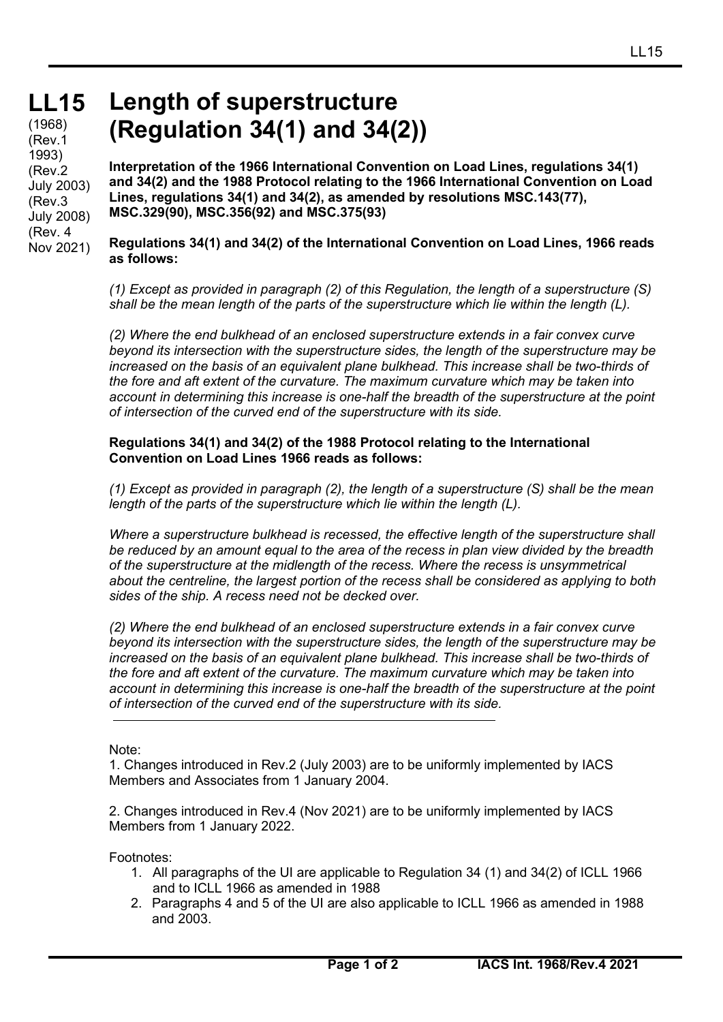### **LL15** (1968) (Rev.1 1993) (Rev.2 July 2003) (Rev.3 July 2008) (Rev. 4 Nov 2021)

# **Length of superstructure (Regulation 34(1) and 34(2))**

**Interpretation of the 1966 International Convention on Load Lines, regulations 34(1) and 34(2) and the 1988 Protocol relating to the 1966 International Convention on Load Lines, regulations 34(1) and 34(2), as amended by resolutions MSC.143(77), MSC.329(90), MSC.356(92) and MSC.375(93)**

**Regulations 34(1) and 34(2) of the International Convention on Load Lines, 1966 reads as follows:**

*(1) Except as provided in paragraph (2) of this Regulation, the length of a superstructure (S) shall be the mean length of the parts of the superstructure which lie within the length (L).* 

*(2) Where the end bulkhead of an enclosed superstructure extends in a fair convex curve beyond its intersection with the superstructure sides, the length of the superstructure may be increased on the basis of an equivalent plane bulkhead. This increase shall be two-thirds of the fore and aft extent of the curvature. The maximum curvature which may be taken into account in determining this increase is one-half the breadth of the superstructure at the point of intersection of the curved end of the superstructure with its side.* 

## **Regulations 34(1) and 34(2) of the 1988 Protocol relating to the International Convention on Load Lines 1966 reads as follows:**

*(1) Except as provided in paragraph (2), the length of a superstructure (S) shall be the mean length of the parts of the superstructure which lie within the length (L).* 

*Where a superstructure bulkhead is recessed, the effective length of the superstructure shall be reduced by an amount equal to the area of the recess in plan view divided by the breadth of the superstructure at the midlength of the recess. Where the recess is unsymmetrical about the centreline, the largest portion of the recess shall be considered as applying to both sides of the ship. A recess need not be decked over.* 

*(2) Where the end bulkhead of an enclosed superstructure extends in a fair convex curve beyond its intersection with the superstructure sides, the length of the superstructure may be*  increased on the basis of an equivalent plane bulkhead. This increase shall be two-thirds of *the fore and aft extent of the curvature. The maximum curvature which may be taken into account in determining this increase is one-half the breadth of the superstructure at the point of intersection of the curved end of the superstructure with its side.* 

Note:

1. Changes introduced in Rev.2 (July 2003) are to be uniformly implemented by IACS Members and Associates from 1 January 2004.

2. Changes introduced in Rev.4 (Nov 2021) are to be uniformly implemented by IACS Members from 1 January 2022.

Footnotes:

- 1. All paragraphs of the UI are applicable to Regulation 34 (1) and 34(2) of ICLL 1966 and to ICLL 1966 as amended in 1988
- 2. Paragraphs 4 and 5 of the UI are also applicable to ICLL 1966 as amended in 1988 and 2003.